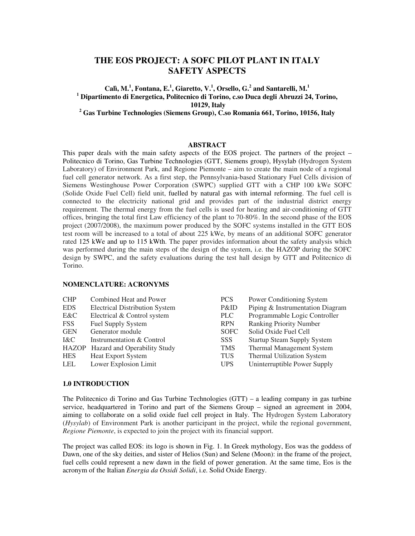# **THE EOS PROJECT: A SOFC PILOT PLANT IN ITALY SAFETY ASPECTS**

## $\mathbf{C}$ alì,  $\mathbf{M}$ .<sup>1</sup>, Fontana, E.<sup>1</sup>, Giaretto, V.<sup>1</sup>, Orsello, G.<sup>2</sup> and Santarelli,  $\mathbf{M}$ .<sup>1</sup> **<sup>1</sup> Dipartimento di Energetica, Politecnico di Torino, c.so Duca degli Abruzzi 24, Torino, 10129, Italy**

**<sup>2</sup> Gas Turbine Technologies (Siemens Group), C.so Romania 661, Torino, 10156, Italy**

## **ABSTRACT**

This paper deals with the main safety aspects of the EOS project. The partners of the project – Politecnico di Torino, Gas Turbine Technologies (GTT, Siemens group), Hysylab (Hydrogen System Laboratory) of Environment Park, and Regione Piemonte – aim to create the main node of a regional fuel cell generator network. As a first step, the Pennsylvania-based Stationary Fuel Cells division of Siemens Westinghouse Power Corporation (SWPC) supplied GTT with a CHP 100 kWe SOFC (Solide Oxide Fuel Cell) field unit, fuelled by natural gas with internal reforming. The fuel cell is connected to the electricity national grid and provides part of the industrial district energy requirement. The thermal energy from the fuel cells is used for heating and air-conditioning of GTT offices, bringing the total first Law efficiency of the plant to 70-80%. In the second phase of the EOS project (2007/2008), the maximum power produced by the SOFC systems installed in the GTT EOS test room will be increased to a total of about 225 kWe, by means of an additional SOFC generator rated 125 kWe and up to 115 kWth. The paper provides information about the safety analysis which was performed during the main steps of the design of the system, i.e. the HAZOP during the SOFC design by SWPC, and the safety evaluations during the test hall design by GTT and Politecnico di Torino.

#### **NOMENCLATURE: ACRONYMS**

| <b>CHP</b>   | Combined Heat and Power               | PCS         | Power Conditioning System          |
|--------------|---------------------------------------|-------------|------------------------------------|
| EDS.         | <b>Electrical Distribution System</b> | P&ID        | Piping & Instrumentation Diagram   |
| E&C          | Electrical & Control system           | PLC         | Programmable Logic Controller      |
| <b>FSS</b>   | <b>Fuel Supply System</b>             | <b>RPN</b>  | <b>Ranking Priority Number</b>     |
| <b>GEN</b>   | Generator module                      | <b>SOFC</b> | Solid Oxide Fuel Cell              |
| I&C          | Instrumentation & Control             | SSS.        | <b>Startup Steam Supply System</b> |
| <b>HAZOP</b> | <b>Hazard and Operability Study</b>   | <b>TMS</b>  | <b>Thermal Management System</b>   |
| <b>HES</b>   | <b>Heat Export System</b>             | <b>TUS</b>  | Thermal Utilization System         |
| LEL          | Lower Explosion Limit                 | <b>UPS</b>  | Uninterruptible Power Supply       |
|              |                                       |             |                                    |

#### **1.0 INTRODUCTION**

The Politecnico di Torino and Gas Turbine Technologies (GTT) – a leading company in gas turbine service, headquartered in Torino and part of the Siemens Group – signed an agreement in 2004, aiming to collaborate on a solid oxide fuel cell project in Italy. The Hydrogen System Laboratory (*Hysylab*) of Environment Park is another participant in the project, while the regional government, *Regione Piemonte*, is expected to join the project with its financial support.

The project was called EOS: its logo is shown in Fig. 1. In Greek mythology, Eos was the goddess of Dawn, one of the sky deities, and sister of Helios (Sun) and Selene (Moon): in the frame of the project, fuel cells could represent a new dawn in the field of power generation. At the same time, Eos is the acronym of the Italian *Energia da Ossidi Solidi*, i.e. Solid Oxide Energy.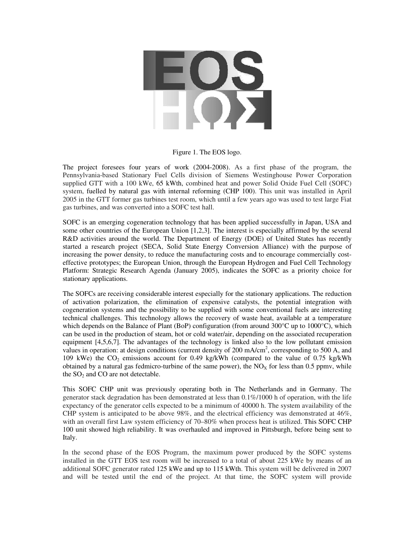

Figure 1. The EOS logo.

The project foresees four years of work (2004-2008). As a first phase of the program, the Pennsylvania-based Stationary Fuel Cells division of Siemens Westinghouse Power Corporation supplied GTT with a 100 kWe, 65 kWth, combined heat and power Solid Oxide Fuel Cell (SOFC) system, fuelled by natural gas with internal reforming (CHP 100). This unit was installed in April 2005 in the GTT former gas turbines test room, which until a few years ago was used to test large Fiat gas turbines, and was converted into a SOFC test hall.

SOFC is an emerging cogeneration technology that has been applied successfully in Japan, USA and some other countries of the European Union [1,2,3]. The interest is especially affirmed by the several R&D activities around the world. The Department of Energy (DOE) of United States has recently started a research project (SECA, Solid State Energy Conversion Alliance) with the purpose of increasing the power density, to reduce the manufacturing costs and to encourage commercially costeffective prototypes; the European Union, through the European Hydrogen and Fuel Cell Technology Platform: Strategic Research Agenda (January 2005), indicates the SOFC as a priority choice for stationary applications.

The SOFCs are receiving considerable interest especially for the stationary applications. The reduction of activation polarization, the elimination of expensive catalysts, the potential integration with cogeneration systems and the possibility to be supplied with some conventional fuels are interesting technical challenges. This technology allows the recovery of waste heat, available at a temperature which depends on the Balance of Plant (BoP) configuration (from around 300°C up to 1000°C), which can be used in the production of steam, hot or cold water/air, depending on the associated recuperation equipment [4,5,6,7]. The advantages of the technology is linked also to the low pollutant emission values in operation: at design conditions (current density of 200 mA/cm<sup>2</sup>, corresponding to 500 A, and 109 kWe) the  $CO_2$  emissions account for 0.49 kg/kWh (compared to the value of 0.75 kg/kWh obtained by a natural gas fedmicro-turbine of the same power), the  $NO<sub>X</sub>$  for less than 0.5 ppmv, while the  $SO<sub>2</sub>$  and  $CO$  are not detectable.

This SOFC CHP unit was previously operating both in The Netherlands and in Germany. The generator stack degradation has been demonstrated at less than 0.1%/1000 h of operation, with the life expectancy of the generator cells expected to be a minimum of 40000 h. The system availability of the CHP system is anticipated to be above 98%, and the electrical efficiency was demonstrated at 46%, with an overall first Law system efficiency of 70–80% when process heat is utilized. This SOFC CHP 100 unit showed high reliability. It was overhauled and improved in Pittsburgh, before being sent to Italy.

In the second phase of the EOS Program, the maximum power produced by the SOFC systems installed in the GTT EOS test room will be increased to a total of about 225 kWe by means of an additional SOFC generator rated 125 kWe and up to 115 kWth. This system will be delivered in 2007 and will be tested until the end of the project. At that time, the SOFC system will provide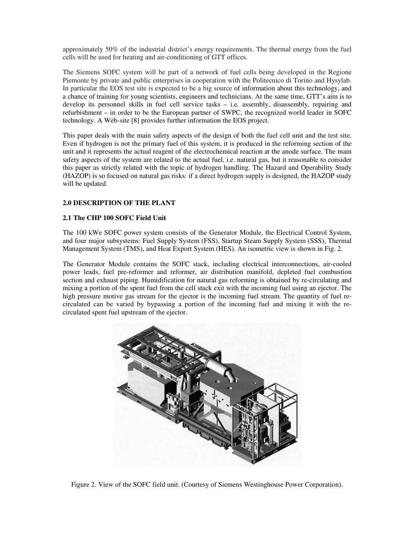approximately 50% of the industrial district's energy requirements. The thermal energy from the fuel cells will be used for heating and air-conditioning of GTT offices.

The Siemens SOFC system will be part of a network of fuel cells being developed in the Regione Piemonte by private and public enterprises in cooperation with the Politecnico di Torino and Hysylab. In particular the EOS test site is expected to be a big source of information about this technology, and a chance of training for young scientists, engineers and technicians. At the same time, GTT's aim is to develop its personnel skills in fuel cell service tasks – i.e. assembly, disassembly, repairing and refurbishment – in order to be the European partner of SWPC, the recognized world leader in SOFC technology. A Web-site [8] provides further information the EOS project.

This paper deals with the main safety aspects of the design of both the fuel cell unit and the test site. Even if hydrogen is not the primary fuel of this system, it is produced in the reforming section of the unit and it represents the actual reagent of the electrochemical reaction at the anode surface. The main safety aspects of the system are related to the actual fuel, i.e. natural gas, but it reasonable to consider this paper as strictly related with the topic of hydrogen handling. The Hazard and Operability Study (HAZOP) is so focused on natural gas risks: if a direct hydrogen supply is designed, the HAZOP study will be updated.

## **2.0 DESCRIPTION OF THE PLANT**

## **2.1 The CHP 100 SOFC Field Unit**

The 100 kWe SOFC power system consists of the Generator Module, the Electrical Control System, and four major subsystems: Fuel Supply System (FSS), Startup Steam Supply System (SSS), Thermal Management System (TMS), and Heat Export System (HES). An isometric view is shown in Fig. 2.

The Generator Module contains the SOFC stack, including electrical interconnections, air-cooled power leads, fuel pre-reformer and reformer, air distribution manifold, depleted fuel combustion section and exhaust piping. Humidification for natural gas reforming is obtained by re-circulating and mixing a portion of the spent fuel from the cell stack exit with the incoming fuel using an ejector. The high pressure motive gas stream for the ejector is the incoming fuel stream. The quantity of fuel recirculated can be varied by bypassing a portion of the incoming fuel and mixing it with the recirculated spent fuel upstream of the ejector.



Figure 2. View of the SOFC field unit. (Courtesy of Siemens Westinghouse Power Corporation).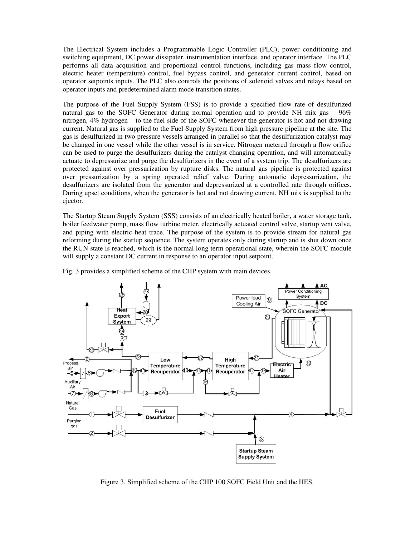The Electrical System includes a Programmable Logic Controller (PLC), power conditioning and switching equipment, DC power dissipater, instrumentation interface, and operator interface. The PLC performs all data acquisition and proportional control functions, including gas mass flow control, electric heater (temperature) control, fuel bypass control, and generator current control, based on operator setpoints inputs. The PLC also controls the positions of solenoid valves and relays based on operator inputs and predetermined alarm mode transition states.

The purpose of the Fuel Supply System (FSS) is to provide a specified flow rate of desulfurized natural gas to the SOFC Generator during normal operation and to provide NH mix gas – 96% nitrogen, 4% hydrogen – to the fuel side of the SOFC whenever the generator is hot and not drawing current. Natural gas is supplied to the Fuel Supply System from high pressure pipeline at the site. The gas is desulfurized in two pressure vessels arranged in parallel so that the desulfurization catalyst may be changed in one vessel while the other vessel is in service. Nitrogen metered through a flow orifice can be used to purge the desulfurizers during the catalyst changing operation, and will automatically actuate to depressurize and purge the desulfurizers in the event of a system trip. The desulfurizers are protected against over pressurization by rupture disks. The natural gas pipeline is protected against over pressurization by a spring operated relief valve. During automatic depressurization, the desulfurizers are isolated from the generator and depressurized at a controlled rate through orifices. During upset conditions, when the generator is hot and not drawing current, NH mix is supplied to the ejector.

The Startup Steam Supply System (SSS) consists of an electrically heated boiler, a water storage tank, boiler feedwater pump, mass flow turbine meter, electrically actuated control valve, startup vent valve, and piping with electric heat trace. The purpose of the system is to provide stream for natural gas reforming during the startup sequence. The system operates only during startup and is shut down once the RUN state is reached, which is the normal long term operational state, wherein the SOFC module will supply a constant DC current in response to an operator input setpoint.



Fig. 3 provides a simplified scheme of the CHP system with main devices.

Figure 3. Simplified scheme of the CHP 100 SOFC Field Unit and the HES.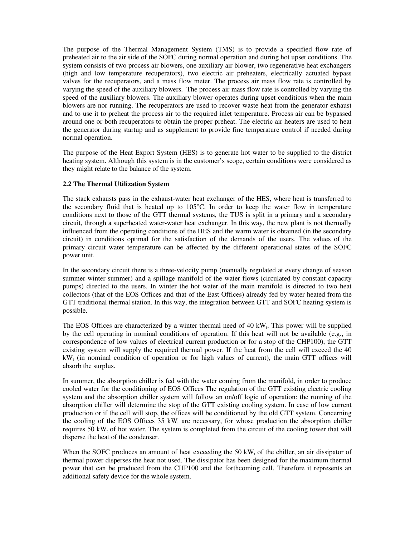The purpose of the Thermal Management System (TMS) is to provide a specified flow rate of preheated air to the air side of the SOFC during normal operation and during hot upset conditions. The system consists of two process air blowers, one auxiliary air blower, two regenerative heat exchangers (high and low temperature recuperators), two electric air preheaters, electrically actuated bypass valves for the recuperators, and a mass flow meter. The process air mass flow rate is controlled by varying the speed of the auxiliary blowers. The process air mass flow rate is controlled by varying the speed of the auxiliary blowers. The auxiliary blower operates during upset conditions when the main blowers are nor running. The recuperators are used to recover waste heat from the generator exhaust and to use it to preheat the process air to the required inlet temperature. Process air can be bypassed around one or both recuperators to obtain the proper preheat. The electric air heaters are used to heat the generator during startup and as supplement to provide fine temperature control if needed during normal operation.

The purpose of the Heat Export System (HES) is to generate hot water to be supplied to the district heating system. Although this system is in the customer's scope, certain conditions were considered as they might relate to the balance of the system.

### **2.2 The Thermal Utilization System**

The stack exhausts pass in the exhaust-water heat exchanger of the HES, where heat is transferred to the secondary fluid that is heated up to 105°C. In order to keep the water flow in temperature conditions next to those of the GTT thermal systems, the TUS is split in a primary and a secondary circuit, through a superheated water-water heat exchanger. In this way, the new plant is not thermally influenced from the operating conditions of the HES and the warm water is obtained (in the secondary circuit) in conditions optimal for the satisfaction of the demands of the users. The values of the primary circuit water temperature can be affected by the different operational states of the SOFC power unit.

In the secondary circuit there is a three-velocity pump (manually regulated at every change of season summer-winter-summer) and a spillage manifold of the water flows (circulated by constant capacity pumps) directed to the users. In winter the hot water of the main manifold is directed to two heat collectors (that of the EOS Offices and that of the East Offices) already fed by water heated from the GTT traditional thermal station. In this way, the integration between GTT and SOFC heating system is possible.

The EOS Offices are characterized by a winter thermal need of  $40 \text{ kW}_t$ . This power will be supplied by the cell operating in nominal conditions of operation. If this heat will not be available (e.g., in correspondence of low values of electrical current production or for a stop of the CHP100), the GTT existing system will supply the required thermal power. If the heat from the cell will exceed the 40  $kW_t$  (in nominal condition of operation or for high values of current), the main GTT offices will absorb the surplus.

In summer, the absorption chiller is fed with the water coming from the manifold, in order to produce cooled water for the conditioning of EOS Offices The regulation of the GTT existing electric cooling system and the absorption chiller system will follow an on/off logic of operation: the running of the absorption chiller will determine the stop of the GTT existing cooling system. In case of low current production or if the cell will stop, the offices will be conditioned by the old GTT system. Concerning the cooling of the EOS Offices  $35 \text{ kW}_t$  are necessary, for whose production the absorption chiller requires 50 kW<sub>t</sub> of hot water. The system is completed from the circuit of the cooling tower that will disperse the heat of the condenser.

When the SOFC produces an amount of heat exceeding the 50 kW<sub>t</sub> of the chiller, an air dissipator of thermal power disperses the heat not used. The dissipator has been designed for the maximum thermal power that can be produced from the CHP100 and the forthcoming cell. Therefore it represents an additional safety device for the whole system.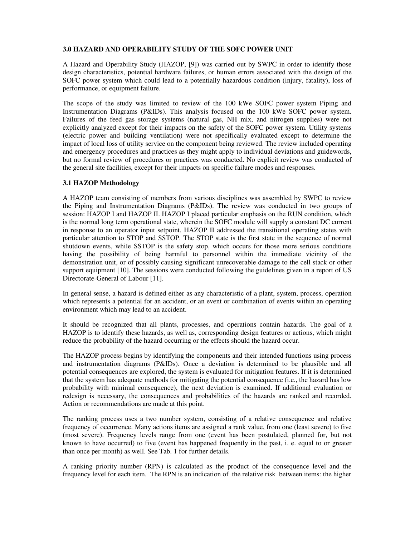### **3.0 HAZARD AND OPERABILITY STUDY OF THE SOFC POWER UNIT**

A Hazard and Operability Study (HAZOP, [9]) was carried out by SWPC in order to identify those design characteristics, potential hardware failures, or human errors associated with the design of the SOFC power system which could lead to a potentially hazardous condition (injury, fatality), loss of performance, or equipment failure.

The scope of the study was limited to review of the 100 kWe SOFC power system Piping and Instrumentation Diagrams (P&IDs). This analysis focused on the 100 kWe SOFC power system. Failures of the feed gas storage systems (natural gas, NH mix, and nitrogen supplies) were not explicitly analyzed except for their impacts on the safety of the SOFC power system. Utility systems (electric power and building ventilation) were not specifically evaluated except to determine the impact of local loss of utility service on the component being reviewed. The review included operating and emergency procedures and practices as they might apply to individual deviations and guidewords, but no formal review of procedures or practices was conducted. No explicit review was conducted of the general site facilities, except for their impacts on specific failure modes and responses.

## **3.1 HAZOP Methodology**

A HAZOP team consisting of members from various disciplines was assembled by SWPC to review the Piping and Instrumentation Diagrams (P&IDs). The review was conducted in two groups of session: HAZOP I and HAZOP II. HAZOP I placed particular emphasis on the RUN condition, which is the normal long term operational state, wherein the SOFC module will supply a constant DC current in response to an operator input setpoint. HAZOP II addressed the transitional operating states with particular attention to STOP and SSTOP. The STOP state is the first state in the sequence of normal shutdown events, while SSTOP is the safety stop, which occurs for those more serious conditions having the possibility of being harmful to personnel within the immediate vicinity of the demonstration unit, or of possibly causing significant unrecoverable damage to the cell stack or other support equipment [10]. The sessions were conducted following the guidelines given in a report of US Directorate-General of Labour [11].

In general sense, a hazard is defined either as any characteristic of a plant, system, process, operation which represents a potential for an accident, or an event or combination of events within an operating environment which may lead to an accident.

It should be recognized that all plants, processes, and operations contain hazards. The goal of a HAZOP is to identify these hazards, as well as, corresponding design features or actions, which might reduce the probability of the hazard occurring or the effects should the hazard occur.

The HAZOP process begins by identifying the components and their intended functions using process and instrumentation diagrams (P&IDs). Once a deviation is determined to be plausible and all potential consequences are explored, the system is evaluated for mitigation features. If it is determined that the system has adequate methods for mitigating the potential consequence (i.e., the hazard has low probability with minimal consequence), the next deviation is examined. If additional evaluation or redesign is necessary, the consequences and probabilities of the hazards are ranked and recorded. Action or recommendations are made at this point.

The ranking process uses a two number system, consisting of a relative consequence and relative frequency of occurrence. Many actions items are assigned a rank value, from one (least severe) to five (most severe). Frequency levels range from one (event has been postulated, planned for, but not known to have occurred) to five (event has happened frequently in the past, i. e. equal to or greater than once per month) as well. See Tab. 1 for further details.

A ranking priority number (RPN) is calculated as the product of the consequence level and the frequency level for each item. The RPN is an indication of the relative risk between items: the higher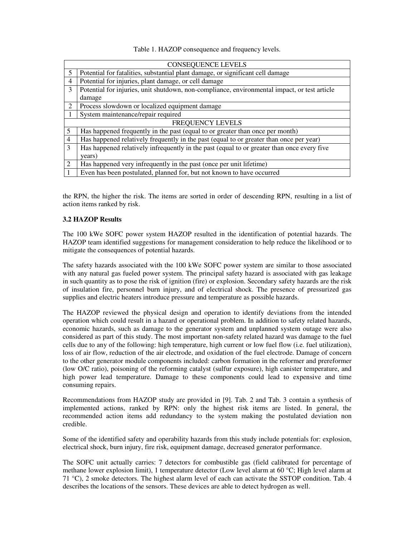Table 1. HAZOP consequence and frequency levels.

| <b>CONSEQUENCE LEVELS</b> |                                                                                              |  |
|---------------------------|----------------------------------------------------------------------------------------------|--|
| 5                         | Potential for fatalities, substantial plant damage, or significant cell damage               |  |
| $\overline{4}$            | Potential for injuries, plant damage, or cell damage                                         |  |
| 3                         | Potential for injuries, unit shutdown, non-compliance, environmental impact, or test article |  |
|                           | damage                                                                                       |  |
| 2                         | Process slowdown or localized equipment damage                                               |  |
|                           | System maintenance/repair required                                                           |  |
| <b>FREQUENCY LEVELS</b>   |                                                                                              |  |
|                           | Has happened frequently in the past (equal to or greater than once per month)                |  |
| 4                         | Has happened relatively frequently in the past (equal to or greater than once per year)      |  |
| 3                         | Has happened relatively infrequently in the past (equal to or greater than once every five   |  |
|                           | years)                                                                                       |  |
| $\overline{2}$            | Has happened very infrequently in the past (once per unit lifetime)                          |  |
|                           | Even has been postulated, planned for, but not known to have occurred                        |  |

the RPN, the higher the risk. The items are sorted in order of descending RPN, resulting in a list of action items ranked by risk.

#### **3.2 HAZOP Results**

The 100 kWe SOFC power system HAZOP resulted in the identification of potential hazards. The HAZOP team identified suggestions for management consideration to help reduce the likelihood or to mitigate the consequences of potential hazards.

The safety hazards associated with the 100 kWe SOFC power system are similar to those associated with any natural gas fueled power system. The principal safety hazard is associated with gas leakage in such quantity as to pose the risk of ignition (fire) or explosion. Secondary safety hazards are the risk of insulation fire, personnel burn injury, and of electrical shock. The presence of pressurized gas supplies and electric heaters introduce pressure and temperature as possible hazards.

The HAZOP reviewed the physical design and operation to identify deviations from the intended operation which could result in a hazard or operational problem. In addition to safety related hazards, economic hazards, such as damage to the generator system and unplanned system outage were also considered as part of this study. The most important non-safety related hazard was damage to the fuel cells due to any of the following: high temperature, high current or low fuel flow (i.e. fuel utilization), loss of air flow, reduction of the air electrode, and oxidation of the fuel electrode. Damage of concern to the other generator module components included: carbon formation in the reformer and prereformer (low O/C ratio), poisoning of the reforming catalyst (sulfur exposure), high canister temperature, and high power lead temperature. Damage to these components could lead to expensive and time consuming repairs.

Recommendations from HAZOP study are provided in [9]. Tab. 2 and Tab. 3 contain a synthesis of implemented actions, ranked by RPN: only the highest risk items are listed. In general, the recommended action items add redundancy to the system making the postulated deviation non credible.

Some of the identified safety and operability hazards from this study include potentials for: explosion, electrical shock, burn injury, fire risk, equipment damage, decreased generator performance.

The SOFC unit actually carries: 7 detectors for combustible gas (field calibrated for percentage of methane lower explosion limit), 1 temperature detector (Low level alarm at 60 °C; High level alarm at 71 °C), 2 smoke detectors. The highest alarm level of each can activate the SSTOP condition. Tab. 4 describes the locations of the sensors. These devices are able to detect hydrogen as well.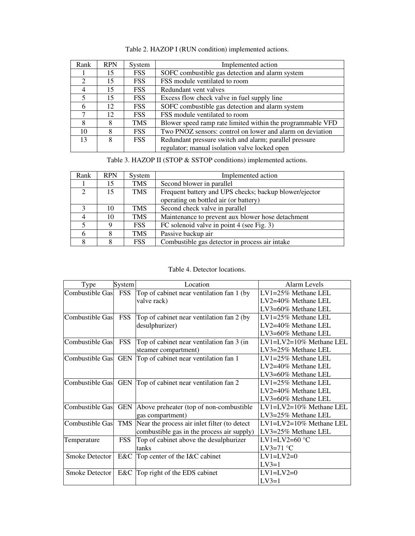| Rank           | <b>RPN</b> | System     | Implemented action                                         |
|----------------|------------|------------|------------------------------------------------------------|
|                | 15         | <b>FSS</b> | SOFC combustible gas detection and alarm system            |
| $\mathfrak{D}$ | 15         | <b>FSS</b> | FSS module ventilated to room                              |
| $\overline{4}$ | 15         | <b>FSS</b> | Redundant vent valves                                      |
| $\overline{5}$ | 15         | <b>FSS</b> | Excess flow check valve in fuel supply line                |
| 6              | 12.        | <b>FSS</b> | SOFC combustible gas detection and alarm system            |
|                | 12         | <b>FSS</b> | FSS module ventilated to room                              |
| 8              | 8          | <b>TMS</b> | Blower speed ramp rate limited within the programmable VFD |
| 10             | 8          | <b>FSS</b> | Two PNOZ sensors: control on lower and alarm on deviation  |
| 13             | 8          | <b>FSS</b> | Redundant pressure switch and alarm; parallel pressure     |
|                |            |            | regulator; manual isolation valve locked open              |

Table 2. HAZOP I (RUN condition) implemented actions.

Table 3. HAZOP II (STOP & SSTOP conditions) implemented actions.

| Rank         | <b>RPN</b> | System     | Implemented action                                     |  |
|--------------|------------|------------|--------------------------------------------------------|--|
|              | 15         | <b>TMS</b> | Second blower in parallel                              |  |
| $\gamma$     | 15         | <b>TMS</b> | Frequent battery and UPS checks; backup blower/ejector |  |
|              |            |            | operating on bottled air (or battery)                  |  |
| $\mathbf{a}$ | 10         | <b>TMS</b> | Second check valve in parallel                         |  |
|              | 10         | <b>TMS</b> | Maintenance to prevent aux blower hose detachment      |  |
|              |            | <b>FSS</b> | FC solenoid valve in point 4 (see Fig. 3)              |  |
|              |            | <b>TMS</b> | Passive backup air                                     |  |
|              |            | <b>FSS</b> | Combustible gas detector in process air intake         |  |

Table 4. Detector locations.

| Type                  | System     | Location                                      | Alarm Levels                   |
|-----------------------|------------|-----------------------------------------------|--------------------------------|
| Combustible Gas FSS   |            | Top of cabinet near ventilation fan 1 (by     | LV1=25% Methane LEL            |
|                       |            | valve rack)                                   | LV2=40% Methane LEL            |
|                       |            |                                               | $LV3=60\%$ Methane LEL         |
| Combustible Gas       | <b>FSS</b> | Top of cabinet near ventilation fan 2 (by     | $LV1=25\%$ Methane LEL         |
|                       |            | desulphurizer)                                | LV2=40% Methane LEL            |
|                       |            |                                               | LV3=60% Methane LEL            |
| Combustible Gas       | <b>FSS</b> | Top of cabinet near ventilation fan 3 (in     | LV1=LV2=10% Methane LEL        |
|                       |            | steamer compartment)                          | $LV3=25\%$ Methane LEL         |
| Combustible Gas       | <b>GEN</b> | Top of cabinet near ventilation fan 1         | $LV1=25\%$ Methane LEL         |
|                       |            |                                               | $LV2=40\%$ Methane LEL         |
|                       |            |                                               | LV3=60% Methane LEL            |
| Combustible Gas GEN   |            | Top of cabinet near ventilation fan 2         | $LV1=25\%$ Methane LEL         |
|                       |            |                                               | $LV2=40\%$ Methane LEL         |
|                       |            |                                               | $LV3=60\%$ Methane LEL         |
| Combustible Gas       | <b>GEN</b> | Above preheater (top of non-combustible)      | $LV1 = LV2 = 10\%$ Methane LEL |
|                       |            | gas compartment)                              | $LV3=25\%$ Methane LEL         |
| Combustible Gas       | <b>TMS</b> | Near the process air inlet filter (to detect) | $LV1 = LV2 = 10\%$ Methane LEL |
|                       |            | combustible gas in the process air supply)    | $LV3=25\%$ Methane LEL         |
| Temperature           | <b>FSS</b> | Top of cabinet above the desulphurizer        | LV1=LV2=60 $\degree$ C         |
|                       |            | tanks                                         | LV3=71 $\degree$ C             |
| <b>Smoke Detector</b> | E&C        | Top center of the I&C cabinet                 | $LV1=LV2=0$                    |
|                       |            |                                               | $LV3=1$                        |
| <b>Smoke Detector</b> | E&C        | Top right of the EDS cabinet                  | $LV1=LV2=0$                    |
|                       |            |                                               | $LV3=1$                        |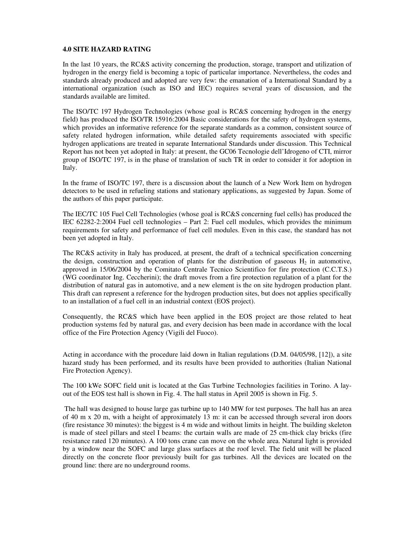#### **4.0 SITE HAZARD RATING**

In the last 10 years, the RC&S activity concerning the production, storage, transport and utilization of hydrogen in the energy field is becoming a topic of particular importance. Nevertheless, the codes and standards already produced and adopted are very few: the emanation of a International Standard by a international organization (such as ISO and IEC) requires several years of discussion, and the standards available are limited.

The ISO/TC 197 Hydrogen Technologies (whose goal is RC&S concerning hydrogen in the energy field) has produced the ISO/TR 15916:2004 Basic considerations for the safety of hydrogen systems, which provides an informative reference for the separate standards as a common, consistent source of safety related hydrogen information, while detailed safety requirements associated with specific hydrogen applications are treated in separate International Standards under discussion. This Technical Report has not been yet adopted in Italy: at present, the GC06 Tecnologie dell'Idrogeno of CTI, mirror group of ISO/TC 197, is in the phase of translation of such TR in order to consider it for adoption in Italy.

In the frame of ISO/TC 197, there is a discussion about the launch of a New Work Item on hydrogen detectors to be used in refueling stations and stationary applications, as suggested by Japan. Some of the authors of this paper participate.

The IEC/TC 105 Fuel Cell Technologies (whose goal is RC&S concerning fuel cells) has produced the IEC 62282-2:2004 Fuel cell technologies – Part 2: Fuel cell modules, which provides the minimum requirements for safety and performance of fuel cell modules. Even in this case, the standard has not been yet adopted in Italy.

The RC&S activity in Italy has produced, at present, the draft of a technical specification concerning the design, construction and operation of plants for the distribution of gaseous  $H_2$  in automotive, approved in 15/06/2004 by the Comitato Centrale Tecnico Scientifico for fire protection (C.C.T.S.) (WG coordinator Ing. Ceccherini); the draft moves from a fire protection regulation of a plant for the distribution of natural gas in automotive, and a new element is the on site hydrogen production plant. This draft can represent a reference for the hydrogen production sites, but does not applies specifically to an installation of a fuel cell in an industrial context (EOS project).

Consequently, the RC&S which have been applied in the EOS project are those related to heat production systems fed by natural gas, and every decision has been made in accordance with the local office of the Fire Protection Agency (Vigili del Fuoco).

Acting in accordance with the procedure laid down in Italian regulations (D.M. 04/05/98, [12]), a site hazard study has been performed, and its results have been provided to authorities (Italian National Fire Protection Agency).

The 100 kWe SOFC field unit is located at the Gas Turbine Technologies facilities in Torino. A layout of the EOS test hall is shown in Fig. 4. The hall status in April 2005 is shown in Fig. 5.

The hall was designed to house large gas turbine up to 140 MW for test purposes. The hall has an area of 40 m x 20 m, with a height of approximately 13 m: it can be accessed through several iron doors (fire resistance 30 minutes): the biggest is 4 m wide and without limits in height. The building skeleton is made of steel pillars and steel I beams: the curtain walls are made of 25 cm-thick clay bricks (fire resistance rated 120 minutes). A 100 tons crane can move on the whole area. Natural light is provided by a window near the SOFC and large glass surfaces at the roof level. The field unit will be placed directly on the concrete floor previously built for gas turbines. All the devices are located on the ground line: there are no underground rooms.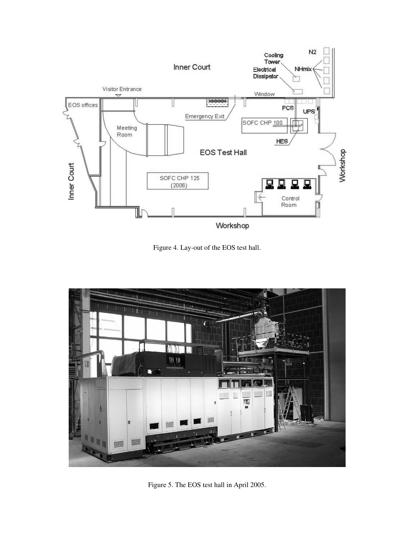

Figure 4. Lay-out of the EOS test hall.



Figure 5. The EOS test hall in April 2005.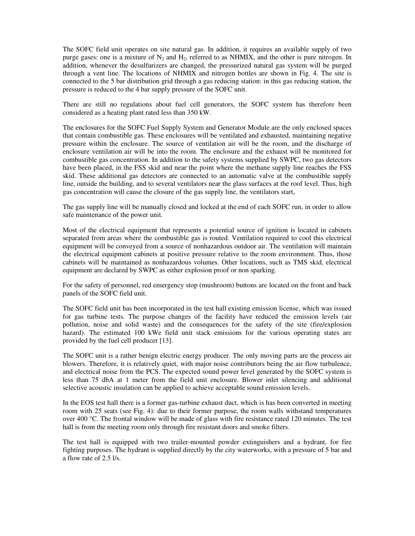The SOFC field unit operates on site natural gas. In addition, it requires an available supply of two purge gases: one is a mixture of  $N_2$  and  $H_2$ , referred to as NHMIX, and the other is pure nitrogen. In addition, whenever the desulfurizers are changed, the pressurized natural gas system will be purged through a vent line. The locations of NHMIX and nitrogen bottles are shown in Fig. 4. The site is connected to the 5 bar distribution grid through a gas reducing station: in this gas reducing station, the pressure is reduced to the 4 bar supply pressure of the SOFC unit.

There are still no regulations about fuel cell generators, the SOFC system has therefore been considered as a heating plant rated less than 350 kW.

The enclosures for the SOFC Fuel Supply System and Generator Module are the only enclosed spaces that contain combustible gas. These enclosures will be ventilated and exhausted, maintaining negative pressure within the enclosure. The source of ventilation air will be the room, and the discharge of enclosure ventilation air will be into the room. The enclosure and the exhaust will be monitored for combustible gas concentration. In addition to the safety systems supplied by SWPC, two gas detectors have been placed, in the FSS skid and near the point where the methane supply line reaches the FSS skid. These additional gas detectors are connected to an automatic valve at the combustible supply line, outside the building, and to several ventilators near the glass surfaces at the roof level. Thus, high gas concentration will cause the closure of the gas supply line, the ventilators start,

The gas supply line will be manually closed and locked at the end of each SOFC run, in order to allow safe maintenance of the power unit.

Most of the electrical equipment that represents a potential source of ignition is located in cabinets separated from areas where the combustible gas is routed. Ventilation required to cool this electrical equipment will be conveyed from a source of nonhazardous outdoor air. The ventilation will maintain the electrical equipment cabinets at positive pressure relative to the room environment. Thus, those cabinets will be maintained as nonhazardous volumes. Other locations, such as TMS skid, electrical equipment are declared by SWPC as either explosion proof or non sparking.

For the safety of personnel, red emergency stop (mushroom) buttons are located on the front and back panels of the SOFC field unit.

The SOFC field unit has been incorporated in the test hall existing emission license, which was issued for gas turbine tests. The purpose changes of the facility have reduced the emission levels (air pollution, noise and solid waste) and the consequences for the safety of the site (fire/explosion hazard). The estimated 100 kWe field unit stack emissions for the various operating states are provided by the fuel cell producer [13].

The SOFC unit is a rather benign electric energy producer. The only moving parts are the process air blowers. Therefore, it is relatively quiet, with major noise contributors being the air flow turbulence, and electrical noise from the PCS. The expected sound power level generated by the SOFC system is less than 75 dbA at 1 meter from the field unit enclosure. Blower inlet silencing and additional selective acoustic insulation can be applied to achieve acceptable sound emission levels.

In the EOS test hall there is a former gas-turbine exhaust duct, which is has been converted in meeting room with 25 seats (see Fig. 4): due to their former purpose, the room walls withstand temperatures over 400 °C. The frontal window will be made of glass with fire resistance rated 120 minutes. The test hall is from the meeting room only through fire resistant doors and smoke filters.

The test hall is equipped with two trailer-mounted powder extinguishers and a hydrant, for fire fighting purposes. The hydrant is supplied directly by the city waterworks, with a pressure of 5 bar and a flow rate of 2.5 l/s.